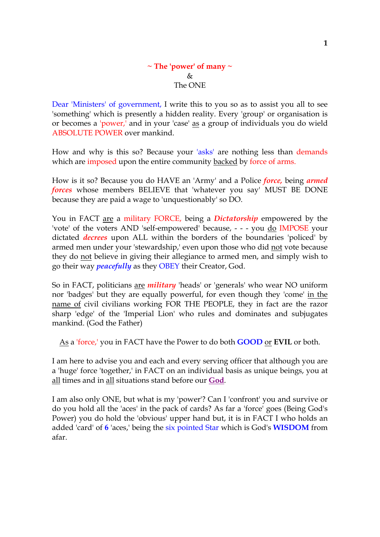## **~ The 'power' of many ~**  $\&$ The ONE

Dear 'Ministers' of government, I write this to you so as to assist you all to see 'something' which is presently a hidden reality. Every 'group' or organisation is or becomes a 'power,' and in your 'case' as a group of individuals you do wield ABSOLUTE POWER over mankind.

How and why is this so? Because your 'asks' are nothing less than demands which are imposed upon the entire community backed by force of arms.

How is it so? Because you do HAVE an 'Army' and a Police *force,* being *armed forces* whose members BELIEVE that 'whatever you say' MUST BE DONE because they are paid a wage to 'unquestionably' so DO.

You in FACT are a military FORCE, being a *Dictatorship* empowered by the 'vote' of the voters AND 'self-empowered' because, - - - you do IMPOSE your dictated *decrees* upon ALL within the borders of the boundaries 'policed' by armed men under your 'stewardship,' even upon those who did not vote because they do not believe in giving their allegiance to armed men, and simply wish to go their way *peacefully* as they OBEY their Creator, God.

So in FACT, politicians are *military* 'heads' or 'generals' who wear NO uniform nor 'badges' but they are equally powerful, for even though they 'come' in the name of civil civilians working FOR THE PEOPLE, they in fact are the razor sharp 'edge' of the 'Imperial Lion' who rules and dominates and subjugates mankind. (God the Father)

As a 'force,' you in FACT have the Power to do both **GOOD** or **EVIL** or both.

I am here to advise you and each and every serving officer that although you are a 'huge' force 'together,' in FACT on an individual basis as unique beings, you at all times and in all situations stand before our **God**.

I am also only ONE, but what is my 'power'? Can I 'confront' you and survive or do you hold all the 'aces' in the pack of cards? As far a 'force' goes (Being God's Power) you do hold the 'obvious' upper hand but, it is in FACT I who holds an added 'card' of **6** 'aces,' being the six pointed Star which is God's **WISDOM** from afar.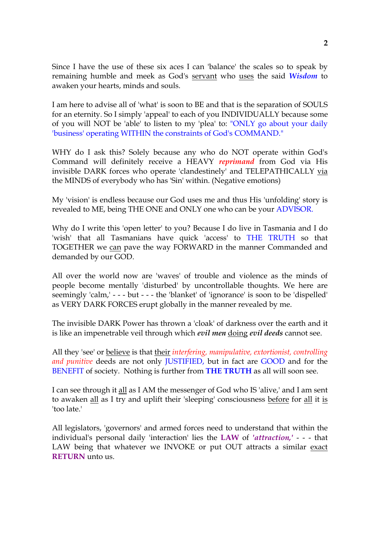Since I have the use of these six aces I can 'balance' the scales so to speak by remaining humble and meek as God's servant who uses the said *Wisdom* to awaken your hearts, minds and souls.

I am here to advise all of 'what' is soon to BE and that is the separation of SOULS for an eternity. So I simply 'appeal' to each of you INDIVIDUALLY because some of you will NOT be 'able' to listen to my 'plea' to: "ONLY go about your daily 'business' operating WITHIN the constraints of God's COMMAND."

WHY do I ask this? Solely because any who do NOT operate within God's Command will definitely receive a HEAVY *reprimand* from God via His invisible DARK forces who operate 'clandestinely' and TELEPATHICALLY via the MINDS of everybody who has 'Sin' within. (Negative emotions)

My 'vision' is endless because our God uses me and thus His 'unfolding' story is revealed to ME, being THE ONE and ONLY one who can be your ADVISOR.

Why do I write this 'open letter' to you? Because I do live in Tasmania and I do 'wish' that all Tasmanians have quick 'access' to THE TRUTH so that TOGETHER we can pave the way FORWARD in the manner Commanded and demanded by our GOD.

All over the world now are 'waves' of trouble and violence as the minds of people become mentally 'disturbed' by uncontrollable thoughts. We here are seemingly 'calm,' - - - but - - - the 'blanket' of 'ignorance' is soon to be 'dispelled' as VERY DARK FORCES erupt globally in the manner revealed by me.

The invisible DARK Power has thrown a 'cloak' of darkness over the earth and it is like an impenetrable veil through which *evil men* doing *evil deeds* cannot see.

All they 'see' or believe is that their *interfering, manipulative, extortionist, controlling and punitive* deeds are not only JUSTIFIED, but in fact are GOOD and for the BENEFIT of society. Nothing is further from **THE TRUTH** as all will soon see.

I can see through it all as I AM the messenger of God who IS 'alive,' and I am sent to awaken all as I try and uplift their 'sleeping' consciousness before for all it is 'too late.'

All legislators, 'governors' and armed forces need to understand that within the individual's personal daily 'interaction' lies the **LAW** of *'attraction,'* - - - that LAW being that whatever we INVOKE or put OUT attracts a similar exact **RETURN** unto us.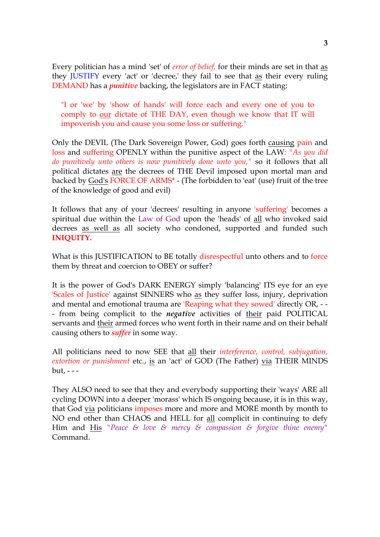Every politician has a mind 'set' of *error of belief,* for their minds are set in that as they JUSTIFY every 'act' or 'decree,' they fail to see that as their every ruling DEMAND has a *punitive* backing, the legislators are in FACT stating:

"I or 'we' by 'show of hands' will force each and every one of you to comply to our dictate of THE DAY, even though we know that IT will impoverish you and cause you some loss or suffering."

Only the DEVIL (The Dark Sovereign Power, God) goes forth causing pain and loss and suffering OPENLY within the punitive aspect of the LAW*: "As you did do punitively unto others is now punitively done unto you,"* so it follows that all political dictates are the decrees of THE Devil imposed upon mortal man and backed by God's FORCE OF ARMS\* - (The forbidden to 'eat' (use) fruit of the tree of the knowledge of good and evil)

It follows that any of your 'decrees' resulting in anyone 'suffering' becomes a spiritual due within the Law of God upon the 'heads' of all who invoked said decrees as well as all society who condoned, supported and funded such **INIQUITY.**

What is this JUSTIFICATION to BE totally disrespectful unto others and to force them by threat and coercion to OBEY or suffer?

It is the power of God's DARK ENERGY simply 'balancing' ITS eye for an eye 'Scales of Justice' against SINNERS who as they suffer loss, injury, deprivation and mental and emotional trauma are 'Reaping what they sowed' directly OR, - - - from being complicit to the *negative* activities of their paid POLITICAL servants and their armed forces who went forth in their name and on their behalf causing others to *suffer* in some way.

All politicians need to now SEE that all their *interference, control, subjugation, extortion or punishment etc., is an 'act' of GOD (The Father) via THEIR MINDS* but, - - -

They ALSO need to see that they and everybody supporting their 'ways' ARE all cycling DOWN into a deeper 'morass' which IS ongoing because, it is in this way, that God via politicians imposes more and more and MORE month by month to NO end other than CHAOS and HELL for all complicit in continuing to defy Him and His *"Peace & love & mercy & compassion & forgive thine enemy"* Command.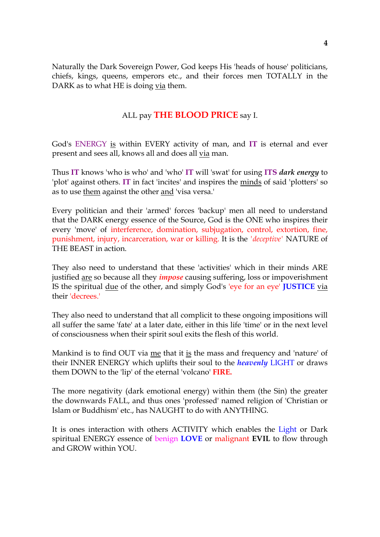Naturally the Dark Sovereign Power, God keeps His 'heads of house' politicians, chiefs, kings, queens, emperors etc., and their forces men TOTALLY in the DARK as to what HE is doing via them.

## ALL pay **THE BLOOD PRICE** say I.

God's ENERGY is within EVERY activity of man, and **IT** is eternal and ever present and sees all, knows all and does all via man.

Thus **IT** knows 'who is who' and 'who' **IT** will 'swat' for using **ITS** *dark energy* to 'plot' against others. **IT** in fact 'incites' and inspires the minds of said 'plotters' so as to use them against the other and 'visa versa.'

Every politician and their 'armed' forces 'backup' men all need to understand that the DARK energy essence of the Source, God is the ONE who inspires their every 'move' of interference, domination, subjugation, control, extortion, fine, punishment, injury, incarceration, war or killing. It is the *'deceptive'* NATURE of THE BEAST in action.

They also need to understand that these 'activities' which in their minds ARE justified are so because all they *impose* causing suffering, loss or impoverishment IS the spiritual due of the other, and simply God's 'eye for an eye' **JUSTICE** via their 'decrees.'

They also need to understand that all complicit to these ongoing impositions will all suffer the same 'fate' at a later date, either in this life 'time' or in the next level of consciousness when their spirit soul exits the flesh of this world.

Mankind is to find OUT via me that it is the mass and frequency and 'nature' of their INNER ENERGY which uplifts their soul to the *heavenly* LIGHT or draws them DOWN to the 'lip' of the eternal 'volcano' **FIRE.**

The more negativity (dark emotional energy) within them (the Sin) the greater the downwards FALL, and thus ones 'professed' named religion of 'Christian or Islam or Buddhism' etc., has NAUGHT to do with ANYTHING.

It is ones interaction with others ACTIVITY which enables the Light or Dark spiritual ENERGY essence of benign **LOVE** or malignant **EVIL** to flow through and GROW within YOU.